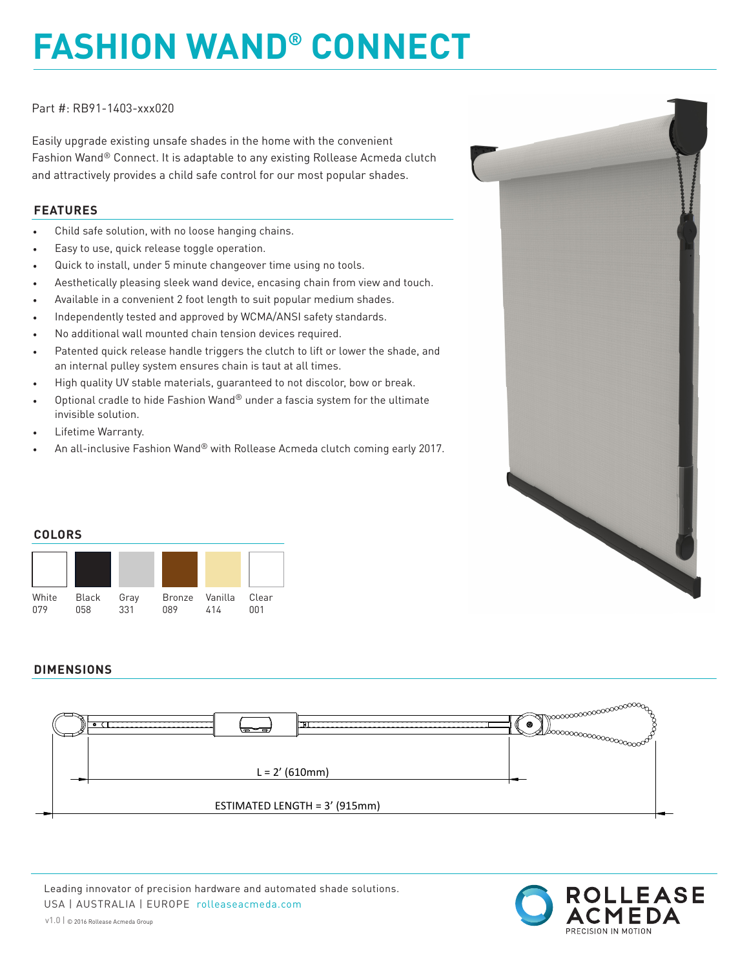# **FASHION WAND® CONNECT**

Part #: RB91-1403-xxx020

Easily upgrade existing unsafe shades in the home with the convenient Fashion Wand® Connect. It is adaptable to any existing Rollease Acmeda clutch and attractively provides a child safe control for our most popular shades.

#### **FEATURES**

- Child safe solution, with no loose hanging chains.
- Easy to use, quick release toggle operation.
- Quick to install, under 5 minute changeover time using no tools.
- Aesthetically pleasing sleek wand device, encasing chain from view and touch.
- Available in a convenient 2 foot length to suit popular medium shades.
- Independently tested and approved by WCMA/ANSI safety standards.
- No additional wall mounted chain tension devices required.
- Patented quick release handle triggers the clutch to lift or lower the shade, and an internal pulley system ensures chain is taut at all times.
- High quality UV stable materials, guaranteed to not discolor, bow or break.
- Optional cradle to hide Fashion Wand® under a fascia system for the ultimate invisible solution.
- Lifetime Warranty.
- An all-inclusive Fashion Wand® with Rollease Acmeda clutch coming early 2017.



### **DIMENSIONS**



Leading innovator of precision hardware and automated shade solutions. USA | AUSTRALIA | EUROPE rolleaseacmeda.com

v1.0 | © 2016 Rollease Acmeda Group